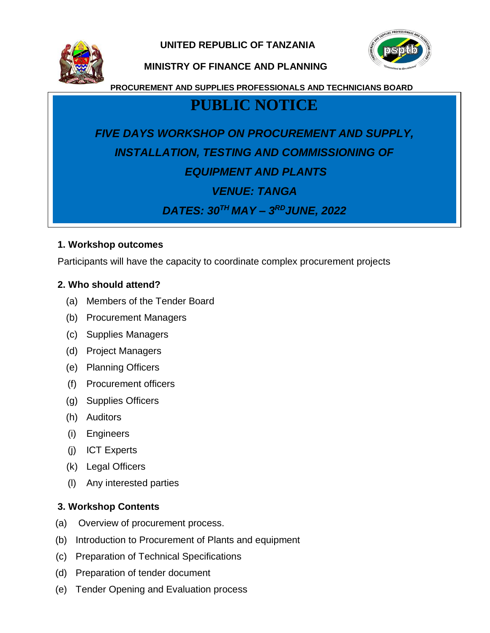**UNITED REPUBLIC OF TANZANIA**



#### **MINISTRY OF FINANCE AND PLANNING**

**PROCUREMENT AND SUPPLIES PROFESSIONALS AND TECHNICIANS BOARD**

### **PUBLIC NOTICE**

# *FIVE DAYS WORKSHOP ON PROCUREMENT AND SUPPLY, INSTALLATION, TESTING AND COMMISSIONING OF EQUIPMENT AND PLANTS*

## *VENUE: TANGA*

*DATES: 30TH MAY – 3 RDJUNE, 2022*

#### **1. Workshop outcomes**

Participants will have the capacity to coordinate complex procurement projects

#### **2. Who should attend?**

- (a) Members of the Tender Board
- (b) Procurement Managers
- (c) Supplies Managers
- (d) Project Managers
- (e) Planning Officers
- (f) Procurement officers
- (g) Supplies Officers
- (h) Auditors
- (i) Engineers
- (j) ICT Experts
- (k) Legal Officers
- (l) Any interested parties

#### **3. Workshop Contents**

- (a) Overview of procurement process.
- (b) Introduction to Procurement of Plants and equipment
- (c) Preparation of Technical Specifications
- (d) Preparation of tender document
- (e) Tender Opening and Evaluation process